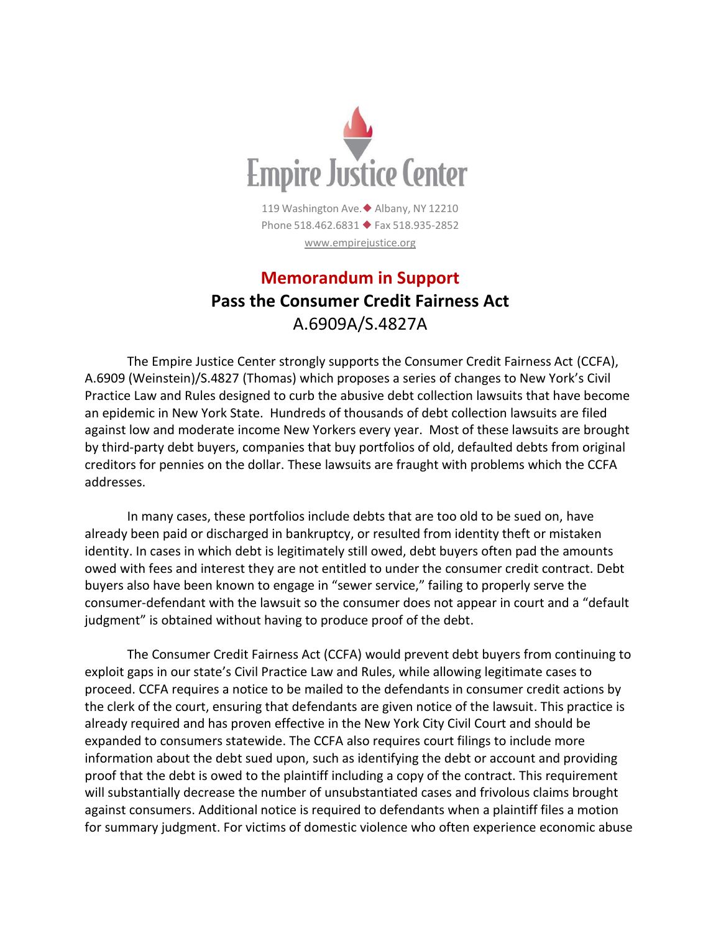

## **Memorandum in Support Pass the Consumer Credit Fairness Act** A.6909A/S.4827A

The Empire Justice Center strongly supports the Consumer Credit Fairness Act (CCFA), A.6909 (Weinstein)/S.4827 (Thomas) which proposes a series of changes to New York's Civil Practice Law and Rules designed to curb the abusive debt collection lawsuits that have become an epidemic in New York State. Hundreds of thousands of debt collection lawsuits are filed against low and moderate income New Yorkers every year. Most of these lawsuits are brought by third-party debt buyers, companies that buy portfolios of old, defaulted debts from original creditors for pennies on the dollar. These lawsuits are fraught with problems which the CCFA addresses.

In many cases, these portfolios include debts that are too old to be sued on, have already been paid or discharged in bankruptcy, or resulted from identity theft or mistaken identity. In cases in which debt is legitimately still owed, debt buyers often pad the amounts owed with fees and interest they are not entitled to under the consumer credit contract. Debt buyers also have been known to engage in "sewer service," failing to properly serve the consumer-defendant with the lawsuit so the consumer does not appear in court and a "default judgment" is obtained without having to produce proof of the debt.

The Consumer Credit Fairness Act (CCFA) would prevent debt buyers from continuing to exploit gaps in our state's Civil Practice Law and Rules, while allowing legitimate cases to proceed. CCFA requires a notice to be mailed to the defendants in consumer credit actions by the clerk of the court, ensuring that defendants are given notice of the lawsuit. This practice is already required and has proven effective in the New York City Civil Court and should be expanded to consumers statewide. The CCFA also requires court filings to include more information about the debt sued upon, such as identifying the debt or account and providing proof that the debt is owed to the plaintiff including a copy of the contract. This requirement will substantially decrease the number of unsubstantiated cases and frivolous claims brought against consumers. Additional notice is required to defendants when a plaintiff files a motion for summary judgment. For victims of domestic violence who often experience economic abuse